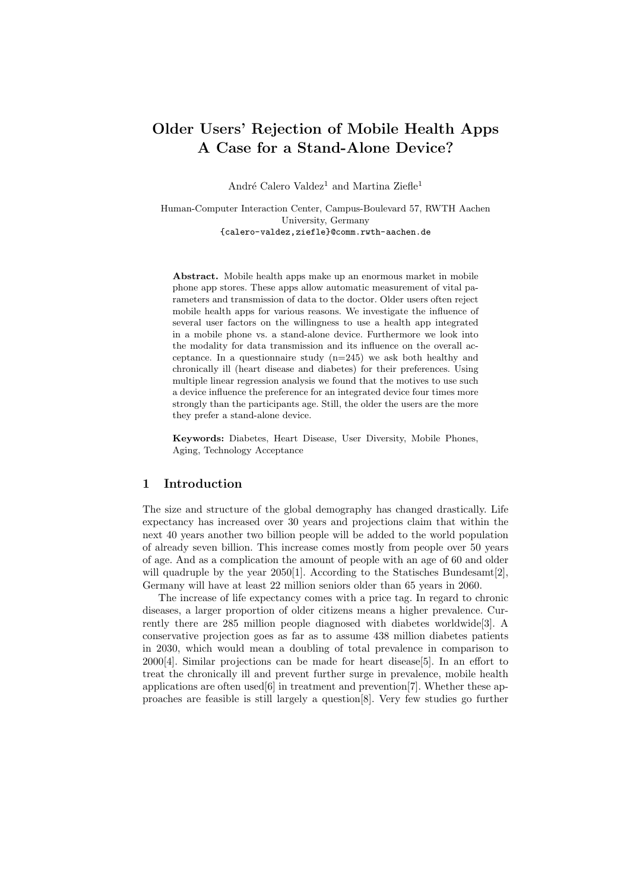# Older Users' Rejection of Mobile Health Apps A Case for a Stand-Alone Device?

André Calero Valdez<sup>1</sup> and Martina Ziefle<sup>1</sup>

Human-Computer Interaction Center, Campus-Boulevard 57, RWTH Aachen University, Germany {calero-valdez,ziefle}@comm.rwth-aachen.de

Abstract. Mobile health apps make up an enormous market in mobile phone app stores. These apps allow automatic measurement of vital parameters and transmission of data to the doctor. Older users often reject mobile health apps for various reasons. We investigate the influence of several user factors on the willingness to use a health app integrated in a mobile phone vs. a stand-alone device. Furthermore we look into the modality for data transmission and its influence on the overall acceptance. In a questionnaire study (n=245) we ask both healthy and chronically ill (heart disease and diabetes) for their preferences. Using multiple linear regression analysis we found that the motives to use such a device influence the preference for an integrated device four times more strongly than the participants age. Still, the older the users are the more they prefer a stand-alone device.

Keywords: Diabetes, Heart Disease, User Diversity, Mobile Phones, Aging, Technology Acceptance

### 1 Introduction

The size and structure of the global demography has changed drastically. Life expectancy has increased over 30 years and projections claim that within the next 40 years another two billion people will be added to the world population of already seven billion. This increase comes mostly from people over 50 years of age. And as a complication the amount of people with an age of 60 and older will quadruple by the year 2050[1]. According to the Statisches Bundesamt[2], Germany will have at least 22 million seniors older than 65 years in 2060.

The increase of life expectancy comes with a price tag. In regard to chronic diseases, a larger proportion of older citizens means a higher prevalence. Currently there are 285 million people diagnosed with diabetes worldwide[3]. A conservative projection goes as far as to assume 438 million diabetes patients in 2030, which would mean a doubling of total prevalence in comparison to 2000[4]. Similar projections can be made for heart disease[5]. In an effort to treat the chronically ill and prevent further surge in prevalence, mobile health applications are often used[6] in treatment and prevention[7]. Whether these approaches are feasible is still largely a question[8]. Very few studies go further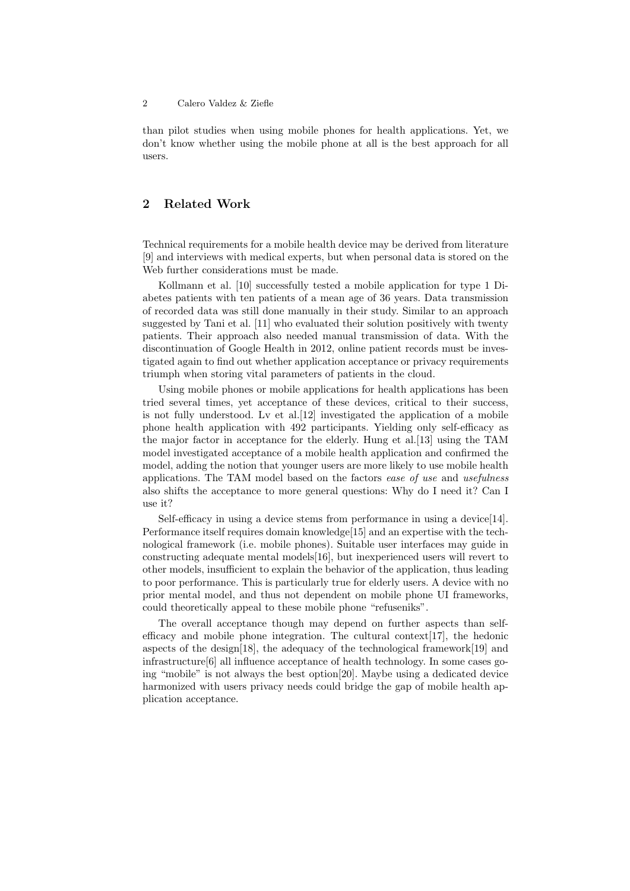than pilot studies when using mobile phones for health applications. Yet, we don't know whether using the mobile phone at all is the best approach for all users.

# 2 Related Work

Technical requirements for a mobile health device may be derived from literature [9] and interviews with medical experts, but when personal data is stored on the Web further considerations must be made.

Kollmann et al. [10] successfully tested a mobile application for type 1 Diabetes patients with ten patients of a mean age of 36 years. Data transmission of recorded data was still done manually in their study. Similar to an approach suggested by Tani et al. [11] who evaluated their solution positively with twenty patients. Their approach also needed manual transmission of data. With the discontinuation of Google Health in 2012, online patient records must be investigated again to find out whether application acceptance or privacy requirements triumph when storing vital parameters of patients in the cloud.

Using mobile phones or mobile applications for health applications has been tried several times, yet acceptance of these devices, critical to their success, is not fully understood. Lv et al.[12] investigated the application of a mobile phone health application with 492 participants. Yielding only self-efficacy as the major factor in acceptance for the elderly. Hung et al.[13] using the TAM model investigated acceptance of a mobile health application and confirmed the model, adding the notion that younger users are more likely to use mobile health applications. The TAM model based on the factors ease of use and usefulness also shifts the acceptance to more general questions: Why do I need it? Can I use it?

Self-efficacy in using a device stems from performance in using a device[14]. Performance itself requires domain knowledge[15] and an expertise with the technological framework (i.e. mobile phones). Suitable user interfaces may guide in constructing adequate mental models[16], but inexperienced users will revert to other models, insufficient to explain the behavior of the application, thus leading to poor performance. This is particularly true for elderly users. A device with no prior mental model, and thus not dependent on mobile phone UI frameworks, could theoretically appeal to these mobile phone "refuseniks".

The overall acceptance though may depend on further aspects than selfefficacy and mobile phone integration. The cultural context[17], the hedonic aspects of the design[18], the adequacy of the technological framework[19] and infrastructure[6] all influence acceptance of health technology. In some cases going "mobile" is not always the best option[20]. Maybe using a dedicated device harmonized with users privacy needs could bridge the gap of mobile health application acceptance.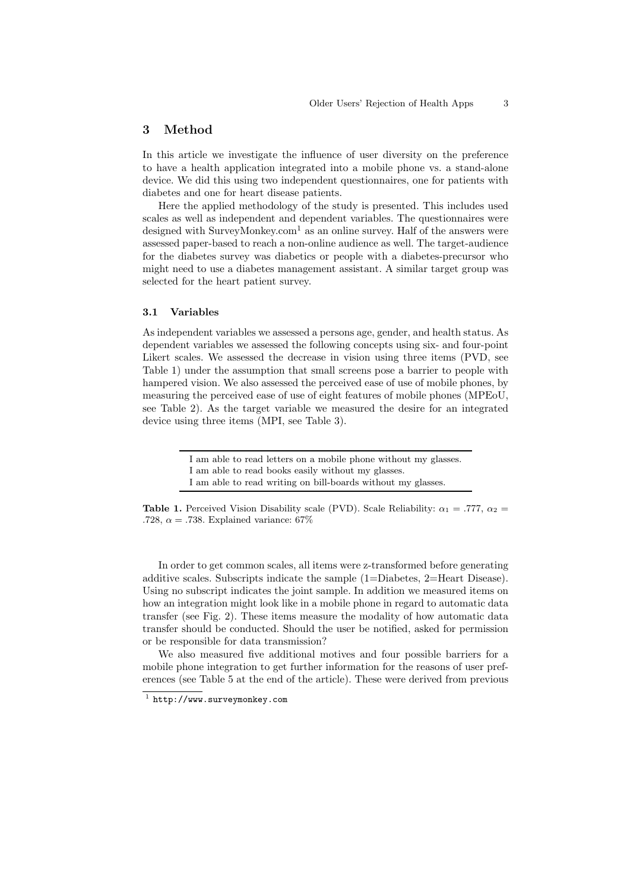## 3 Method

In this article we investigate the influence of user diversity on the preference to have a health application integrated into a mobile phone vs. a stand-alone device. We did this using two independent questionnaires, one for patients with diabetes and one for heart disease patients.

Here the applied methodology of the study is presented. This includes used scales as well as independent and dependent variables. The questionnaires were designed with SurveyMonkey.com<sup>1</sup> as an online survey. Half of the answers were assessed paper-based to reach a non-online audience as well. The target-audience for the diabetes survey was diabetics or people with a diabetes-precursor who might need to use a diabetes management assistant. A similar target group was selected for the heart patient survey.

#### 3.1 Variables

As independent variables we assessed a persons age, gender, and health status. As dependent variables we assessed the following concepts using six- and four-point Likert scales. We assessed the decrease in vision using three items (PVD, see Table 1) under the assumption that small screens pose a barrier to people with hampered vision. We also assessed the perceived ease of use of mobile phones, by measuring the perceived ease of use of eight features of mobile phones (MPEoU, see Table 2). As the target variable we measured the desire for an integrated device using three items (MPI, see Table 3).

In order to get common scales, all items were z-transformed before generating additive scales. Subscripts indicate the sample (1=Diabetes, 2=Heart Disease). Using no subscript indicates the joint sample. In addition we measured items on how an integration might look like in a mobile phone in regard to automatic data transfer (see Fig. 2). These items measure the modality of how automatic data transfer should be conducted. Should the user be notified, asked for permission or be responsible for data transmission?

We also measured five additional motives and four possible barriers for a mobile phone integration to get further information for the reasons of user preferences (see Table 5 at the end of the article). These were derived from previous

I am able to read letters on a mobile phone without my glasses.

I am able to read books easily without my glasses.

I am able to read writing on bill-boards without my glasses.

**Table 1.** Perceived Vision Disability scale (PVD). Scale Reliability:  $\alpha_1 = .777$ ,  $\alpha_2 =$ .728,  $\alpha = .738$ . Explained variance: 67%

<sup>1</sup> http://www.surveymonkey.com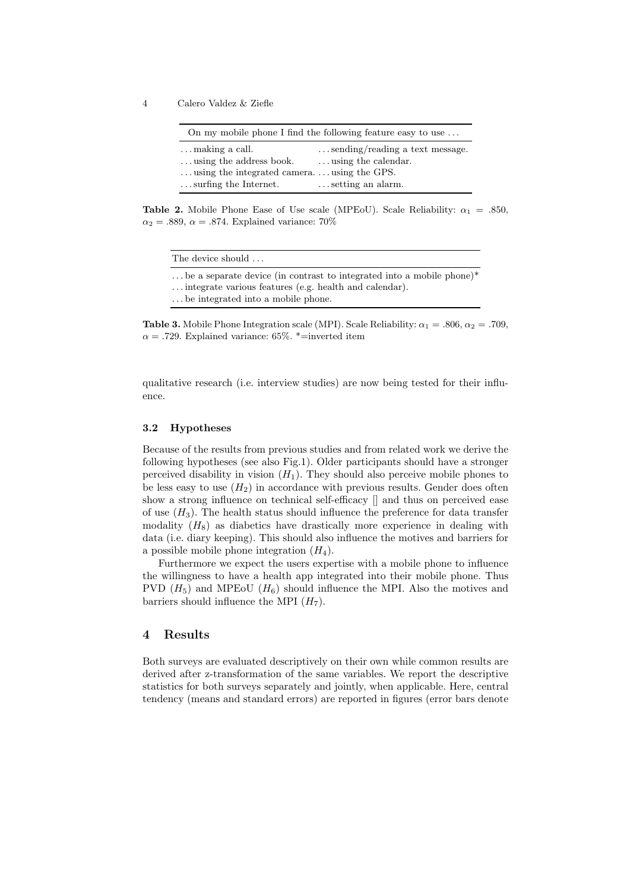| On my mobile phone I find the following feature easy to use $\dots$                                              |                                                                                      |  |  |
|------------------------------------------------------------------------------------------------------------------|--------------------------------------------------------------------------------------|--|--|
| making a call.<br>using the address book.<br>using the integrated camera using the GPS.<br>surfing the Internet. | $\ldots$ sending/reading a text message.<br>using the calendar.<br>setting an alarm. |  |  |
|                                                                                                                  |                                                                                      |  |  |

**Table 2.** Mobile Phone Ease of Use scale (MPEoU). Scale Reliability:  $\alpha_1 = .850$ ,  $\alpha_2 = .889, \alpha = .874.$  Explained variance: 70%

| The device should                                                              |  |  |
|--------------------------------------------------------------------------------|--|--|
| $\ldots$ be a separate device (in contrast to integrated into a mobile phone)* |  |  |
| integrate various features (e.g. health and calendar).                         |  |  |
| be integrated into a mobile phone.                                             |  |  |

**Table 3.** Mobile Phone Integration scale (MPI). Scale Reliability:  $\alpha_1 = .806$ ,  $\alpha_2 = .709$ ,  $\alpha = .729$ . Explained variance: 65%. \*=inverted item

qualitative research (i.e. interview studies) are now being tested for their influence.

#### 3.2 Hypotheses

Because of the results from previous studies and from related work we derive the following hypotheses (see also Fig.1). Older participants should have a stronger perceived disability in vision  $(H_1)$ . They should also perceive mobile phones to be less easy to use  $(H_2)$  in accordance with previous results. Gender does often show a strong influence on technical self-efficacy [] and thus on perceived ease of use  $(H_3)$ . The health status should influence the preference for data transfer modality  $(H_8)$  as diabetics have drastically more experience in dealing with data (i.e. diary keeping). This should also influence the motives and barriers for a possible mobile phone integration  $(H_4)$ .

Furthermore we expect the users expertise with a mobile phone to influence the willingness to have a health app integrated into their mobile phone. Thus PVD  $(H_5)$  and MPE<sub>o</sub>U  $(H_6)$  should influence the MPI. Also the motives and barriers should influence the MPI  $(H<sub>7</sub>)$ .

## 4 Results

Both surveys are evaluated descriptively on their own while common results are derived after z-transformation of the same variables. We report the descriptive statistics for both surveys separately and jointly, when applicable. Here, central tendency (means and standard errors) are reported in figures (error bars denote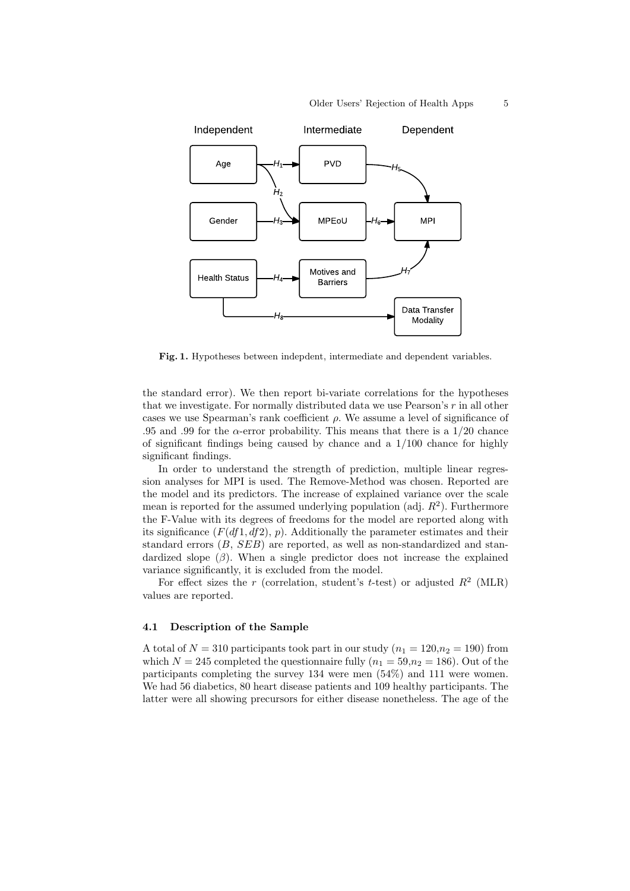

Fig. 1. Hypotheses between indepdent, intermediate and dependent variables.

the standard error). We then report bi-variate correlations for the hypotheses that we investigate. For normally distributed data we use Pearson's  $r$  in all other cases we use Spearman's rank coefficient  $\rho$ . We assume a level of significance of .95 and .99 for the  $\alpha$ -error probability. This means that there is a 1/20 chance of significant findings being caused by chance and a 1/100 chance for highly significant findings.

In order to understand the strength of prediction, multiple linear regression analyses for MPI is used. The Remove-Method was chosen. Reported are the model and its predictors. The increase of explained variance over the scale mean is reported for the assumed underlying population (adj.  $R^2$ ). Furthermore the F-Value with its degrees of freedoms for the model are reported along with its significance  $(F(df1, df2), p)$ . Additionally the parameter estimates and their standard errors  $(B, SEB)$  are reported, as well as non-standardized and standardized slope  $(\beta)$ . When a single predictor does not increase the explained variance significantly, it is excluded from the model.

For effect sizes the r (correlation, student's t-test) or adjusted  $R^2$  (MLR) values are reported.

#### 4.1 Description of the Sample

A total of  $N = 310$  participants took part in our study  $(n_1 = 120, n_2 = 190)$  from which  $N = 245$  completed the questionnaire fully  $(n_1 = 59, n_2 = 186)$ . Out of the participants completing the survey 134 were men (54%) and 111 were women. We had 56 diabetics, 80 heart disease patients and 109 healthy participants. The latter were all showing precursors for either disease nonetheless. The age of the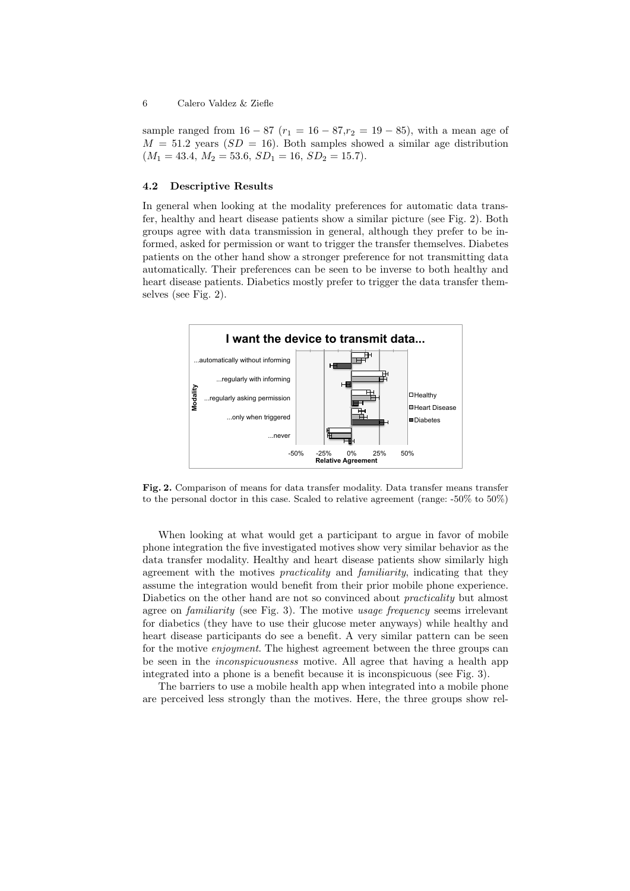sample ranged from  $16 - 87$  ( $r_1 = 16 - 87, r_2 = 19 - 85$ ), with a mean age of  $M = 51.2$  years  $(SD = 16)$ . Both samples showed a similar age distribution  $(M_1 = 43.4, M_2 = 53.6, SD_1 = 16, SD_2 = 15.7).$ 

#### 4.2 Descriptive Results

In general when looking at the modality preferences for automatic data transfer, healthy and heart disease patients show a similar picture (see Fig. 2). Both groups agree with data transmission in general, although they prefer to be informed, asked for permission or want to trigger the transfer themselves. Diabetes patients on the other hand show a stronger preference for not transmitting data automatically. Their preferences can be seen to be inverse to both healthy and heart disease patients. Diabetics mostly prefer to trigger the data transfer themselves (see Fig. 2).



Fig. 2. Comparison of means for data transfer modality. Data transfer means transfer to the personal doctor in this case. Scaled to relative agreement (range: -50% to 50%)

When looking at what would get a participant to argue in favor of mobile phone integration the five investigated motives show very similar behavior as the data transfer modality. Healthy and heart disease patients show similarly high agreement with the motives practicality and familiarity, indicating that they assume the integration would benefit from their prior mobile phone experience. Diabetics on the other hand are not so convinced about *practicality* but almost agree on familiarity (see Fig. 3). The motive usage frequency seems irrelevant for diabetics (they have to use their glucose meter anyways) while healthy and heart disease participants do see a benefit. A very similar pattern can be seen for the motive enjoyment. The highest agreement between the three groups can be seen in the inconspicuousness motive. All agree that having a health app integrated into a phone is a benefit because it is inconspicuous (see Fig. 3).

The barriers to use a mobile health app when integrated into a mobile phone are perceived less strongly than the motives. Here, the three groups show rel-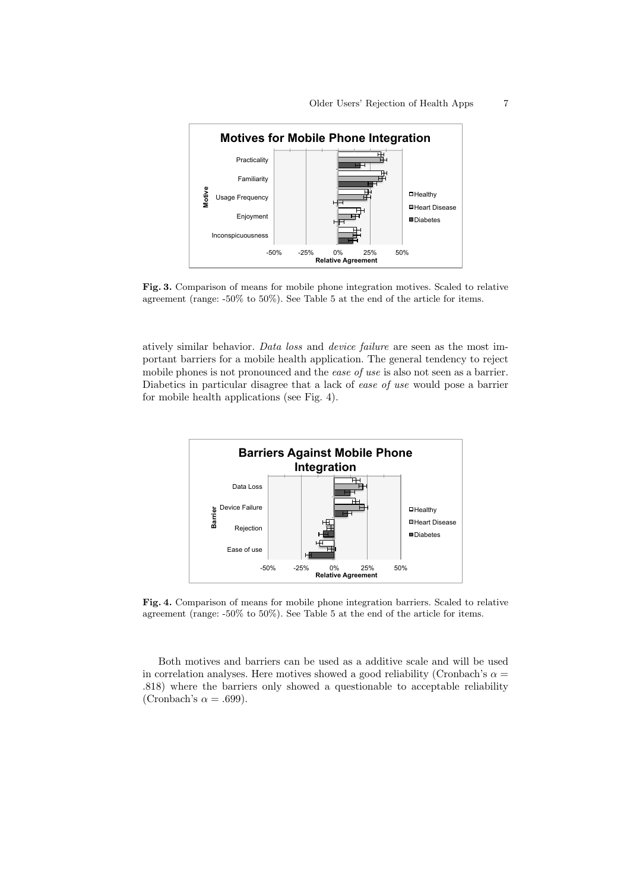

Fig. 3. Comparison of means for mobile phone integration motives. Scaled to relative agreement (range: -50% to 50%). See Table 5 at the end of the article for items.

atively similar behavior. Data loss and device failure are seen as the most important barriers for a mobile health application. The general tendency to reject mobile phones is not pronounced and the *ease of use* is also not seen as a barrier. Diabetics in particular disagree that a lack of ease of use would pose a barrier for mobile health applications (see Fig. 4).



Fig. 4. Comparison of means for mobile phone integration barriers. Scaled to relative agreement (range: -50% to 50%). See Table 5 at the end of the article for items.

Both motives and barriers can be used as a additive scale and will be used in correlation analyses. Here motives showed a good reliability (Cronbach's  $\alpha =$ .818) where the barriers only showed a questionable to acceptable reliability (Cronbach's  $\alpha = .699$ ).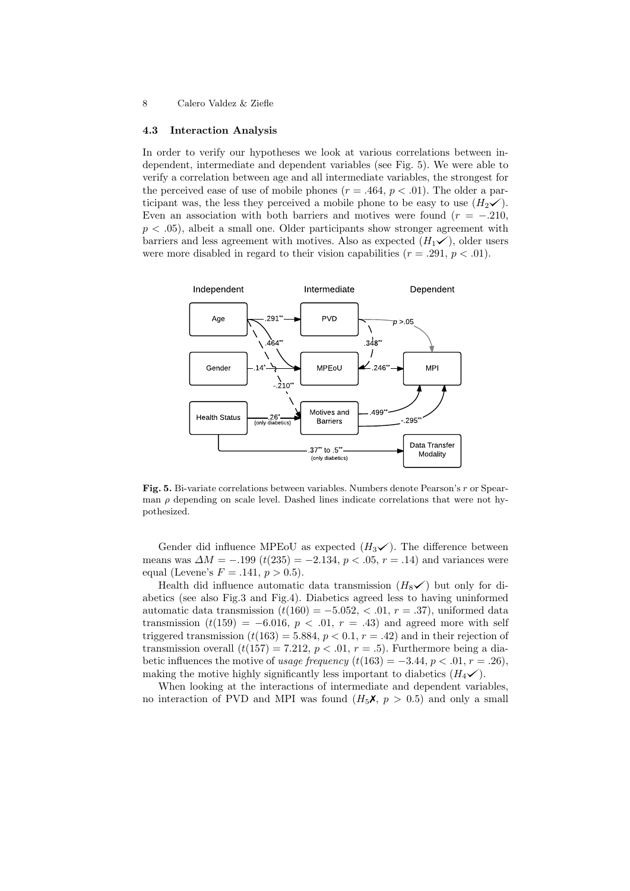#### 4.3 Interaction Analysis

In order to verify our hypotheses we look at various correlations between independent, intermediate and dependent variables (see Fig. 5). We were able to verify a correlation between age and all intermediate variables, the strongest for the perceived ease of use of mobile phones ( $r = .464$ ,  $p < .01$ ). The older a participant was, the less they perceived a mobile phone to be easy to use  $(H_2 \checkmark)$ . Even an association with both barriers and motives were found  $(r = -.210$ ,  $p < .05$ ), albeit a small one. Older participants show stronger agreement with barriers and less agreement with motives. Also as expected  $(H_1 \checkmark)$ , older users were more disabled in regard to their vision capabilities ( $r = .291, p < .01$ ).



Fig. 5. Bi-variate correlations between variables. Numbers denote Pearson's r or Spearman  $\rho$  depending on scale level. Dashed lines indicate correlations that were not hypothesized.

Gender did influence MPEoU as expected  $(H_3 \checkmark)$ . The difference between means was  $\Delta M = -.199$  (t(235) = -2.134, p < .05, r = .14) and variances were equal (Levene's  $F = .141, p > 0.5$ ).

Health did influence automatic data transmission  $(H_s \checkmark)$  but only for diabetics (see also Fig.3 and Fig.4). Diabetics agreed less to having uninformed automatic data transmission  $(t(160) = -5.052, < .01, r = .37)$ , uniformed data transmission  $(t(159) = -6.016, p < .01, r = .43)$  and agreed more with self triggered transmission  $(t(163) = 5.884, p < 0.1, r = .42)$  and in their rejection of transmission overall  $(t(157) = 7.212, p < .01, r = .5)$ . Furthermore being a diabetic influences the motive of usage frequency  $(t(163) = -3.44, p < .01, r = .26)$ , making the motive highly significantly less important to diabetics  $(H_4 \checkmark)$ .

When looking at the interactions of intermediate and dependent variables, no interaction of PVD and MPI was found  $(H_5\mathbf{X}, p > 0.5)$  and only a small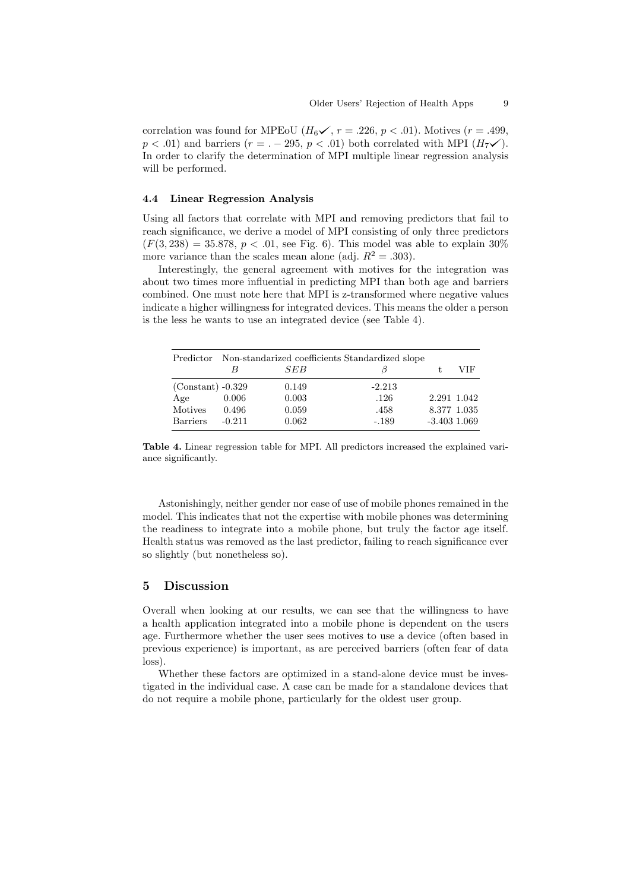correlation was found for MPEoU ( $H_6 \checkmark$ ,  $r = .226, p < .01$ ). Motives ( $r = .499,$  $p < .01$ ) and barriers  $(r = . -295, p < .01)$  both correlated with MPI  $(H<sub>7</sub>\checkmark)$ . In order to clarify the determination of MPI multiple linear regression analysis will be performed.

#### 4.4 Linear Regression Analysis

Using all factors that correlate with MPI and removing predictors that fail to reach significance, we derive a model of MPI consisting of only three predictors  $(F(3, 238) = 35.878, p < .01,$  see Fig. 6). This model was able to explain  $30\%$ more variance than the scales mean alone (adj.  $R^2 = .303$ ).

Interestingly, the general agreement with motives for the integration was about two times more influential in predicting MPI than both age and barriers combined. One must note here that MPI is z-transformed where negative values indicate a higher willingness for integrated devices. This means the older a person is the less he wants to use an integrated device (see Table 4).

| Predictor           |          |       | Non-standarized coefficients Standardized slope |                |     |
|---------------------|----------|-------|-------------------------------------------------|----------------|-----|
|                     | R        | SEB   | 17                                              |                | VIF |
| $(Constant) -0.329$ |          | 0.149 | $-2.213$                                        |                |     |
| Age                 | 0.006    | 0.003 | .126                                            | 2.291 1.042    |     |
| Motives             | 0.496    | 0.059 | .458                                            | 8.377 1.035    |     |
| <b>Barriers</b>     | $-0.211$ | 0.062 | $-.189$                                         | $-3.403$ 1.069 |     |

Table 4. Linear regression table for MPI. All predictors increased the explained variance significantly.

Astonishingly, neither gender nor ease of use of mobile phones remained in the model. This indicates that not the expertise with mobile phones was determining the readiness to integrate into a mobile phone, but truly the factor age itself. Health status was removed as the last predictor, failing to reach significance ever so slightly (but nonetheless so).

## 5 Discussion

Overall when looking at our results, we can see that the willingness to have a health application integrated into a mobile phone is dependent on the users age. Furthermore whether the user sees motives to use a device (often based in previous experience) is important, as are perceived barriers (often fear of data loss).

Whether these factors are optimized in a stand-alone device must be investigated in the individual case. A case can be made for a standalone devices that do not require a mobile phone, particularly for the oldest user group.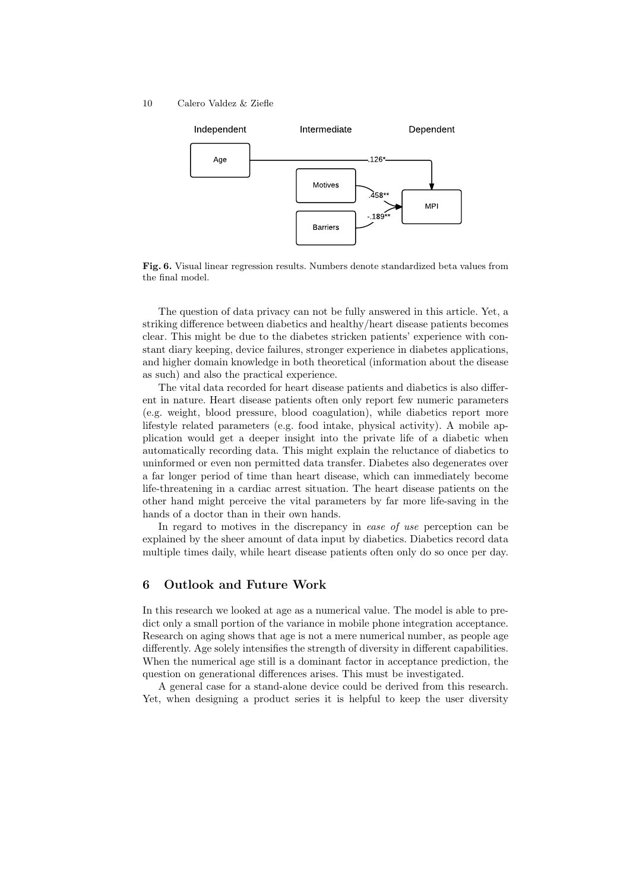

Fig. 6. Visual linear regression results. Numbers denote standardized beta values from the final model.

The question of data privacy can not be fully answered in this article. Yet, a striking difference between diabetics and healthy/heart disease patients becomes clear. This might be due to the diabetes stricken patients' experience with constant diary keeping, device failures, stronger experience in diabetes applications, and higher domain knowledge in both theoretical (information about the disease as such) and also the practical experience.

The vital data recorded for heart disease patients and diabetics is also different in nature. Heart disease patients often only report few numeric parameters (e.g. weight, blood pressure, blood coagulation), while diabetics report more lifestyle related parameters (e.g. food intake, physical activity). A mobile application would get a deeper insight into the private life of a diabetic when automatically recording data. This might explain the reluctance of diabetics to uninformed or even non permitted data transfer. Diabetes also degenerates over a far longer period of time than heart disease, which can immediately become life-threatening in a cardiac arrest situation. The heart disease patients on the other hand might perceive the vital parameters by far more life-saving in the hands of a doctor than in their own hands.

In regard to motives in the discrepancy in ease of use perception can be explained by the sheer amount of data input by diabetics. Diabetics record data multiple times daily, while heart disease patients often only do so once per day.

## 6 Outlook and Future Work

In this research we looked at age as a numerical value. The model is able to predict only a small portion of the variance in mobile phone integration acceptance. Research on aging shows that age is not a mere numerical number, as people age differently. Age solely intensifies the strength of diversity in different capabilities. When the numerical age still is a dominant factor in acceptance prediction, the question on generational differences arises. This must be investigated.

A general case for a stand-alone device could be derived from this research. Yet, when designing a product series it is helpful to keep the user diversity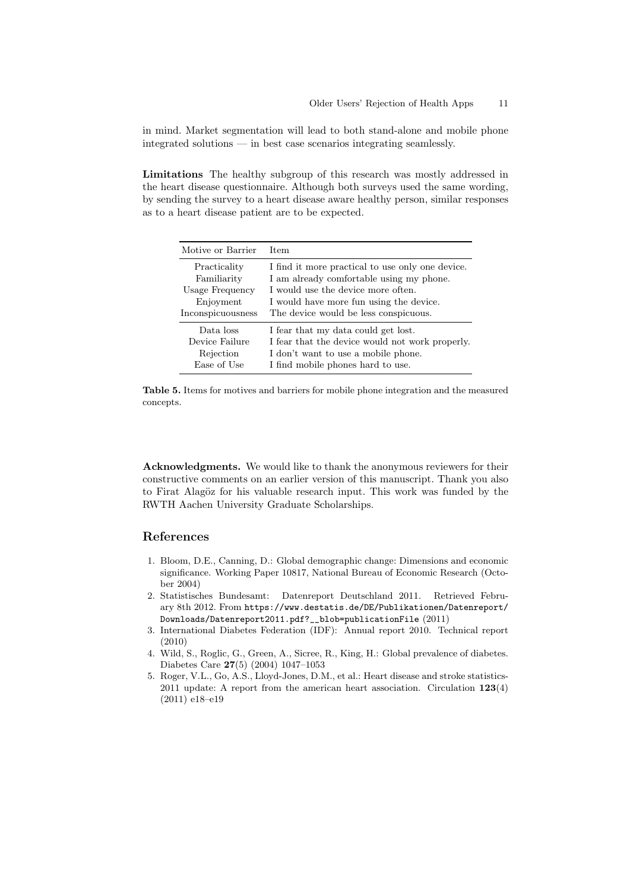in mind. Market segmentation will lead to both stand-alone and mobile phone integrated solutions — in best case scenarios integrating seamlessly.

Limitations The healthy subgroup of this research was mostly addressed in the heart disease questionnaire. Although both surveys used the same wording, by sending the survey to a heart disease aware healthy person, similar responses as to a heart disease patient are to be expected.

| Motive or Barrier | <b>Item</b>                                      |
|-------------------|--------------------------------------------------|
| Practicality      | I find it more practical to use only one device. |
| Familiarity       | I am already comfortable using my phone.         |
| Usage Frequency   | I would use the device more often.               |
| Enjoyment         | I would have more fun using the device.          |
| Inconspicuousness | The device would be less conspicuous.            |
| Data loss         | I fear that my data could get lost.              |
| Device Failure    | I fear that the device would not work properly.  |
| Rejection         | I don't want to use a mobile phone.              |
| Ease of Use       | I find mobile phones hard to use.                |

Table 5. Items for motives and barriers for mobile phone integration and the measured concepts.

Acknowledgments. We would like to thank the anonymous reviewers for their constructive comments on an earlier version of this manuscript. Thank you also to Firat Alagöz for his valuable research input. This work was funded by the RWTH Aachen University Graduate Scholarships.

## References

- 1. Bloom, D.E., Canning, D.: Global demographic change: Dimensions and economic significance. Working Paper 10817, National Bureau of Economic Research (October 2004)
- 2. Statistisches Bundesamt: Datenreport Deutschland 2011. Retrieved February 8th 2012. From https://www.destatis.de/DE/Publikationen/Datenreport/ Downloads/Datenreport2011.pdf?\_\_blob=publicationFile (2011)
- 3. International Diabetes Federation (IDF): Annual report 2010. Technical report (2010)
- 4. Wild, S., Roglic, G., Green, A., Sicree, R., King, H.: Global prevalence of diabetes. Diabetes Care 27(5) (2004) 1047–1053
- 5. Roger, V.L., Go, A.S., Lloyd-Jones, D.M., et al.: Heart disease and stroke statistics-2011 update: A report from the american heart association. Circulation 123(4) (2011) e18–e19